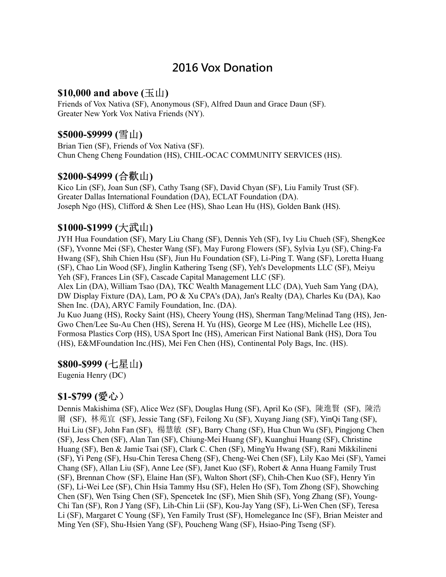# 2016 Vox Donation

### \$10,000 and above  $(\pm \text{1})$

Friends of Vox Nativa (SF), Anonymous (SF), Alfred Daun and Grace Daun (SF). Greater New York Vox Nativa Friends (NY).

#### \$5000-\$9999 (雪山)

Brian Tien (SF), Friends of Vox Nativa (SF). Chun Cheng Cheng Foundation (HS), CHIL-OCAC COMMUNITY SERVICES (HS).

## \$2000-\$4999 (合歡山)

Kico Lin (SF), Joan Sun (SF), Cathy Tsang (SF), David Chyan (SF), Liu Family Trust (SF). Greater Dallas International Foundation (DA), ECLAT Foundation (DA). Joseph Ngo (HS), Clifford & Shen Lee (HS), Shao Lean Hu (HS), Golden Bank (HS).

#### \$1000-\$1999 (大武山)

JYH Hua Foundation (SF), Mary Liu Chang (SF), Dennis Yeh (SF), Ivy Liu Chueh (SF), ShengKee (SF), Yvonne Mei (SF), Chester Wang (SF), May Furong Flowers (SF), Sylvia Lyu (SF), Ching-Fa Hwang (SF), Shih Chien Hsu (SF), Jiun Hu Foundation (SF), Li-Ping T. Wang (SF), Loretta Huang (SF), Chao Lin Wood (SF), Jinglin Kathering Tseng (SF), Yeh's Developments LLC (SF), Meiyu Yeh (SF), Frances Lin (SF), Cascade Capital Management LLC (SF).

Alex Lin (DA), William Tsao (DA), TKC Wealth Management LLC (DA), Yueh Sam Yang (DA), DW Display Fixture (DA), Lam, PO & Xu CPA's (DA), Jan's Realty (DA), Charles Ku (DA), Kao Shen Inc. (DA), ARYC Family Foundation, Inc. (DA).

Ju Kuo Juang (HS), Rocky Saint (HS), Cheery Young (HS), Sherman Tang/Melinad Tang (HS), Jen-Gwo Chen/Lee Su-Au Chen (HS), Serena H. Yu (HS), George M Lee (HS), Michelle Lee (HS), Formosa Plastics Corp (HS), USA Sport Inc (HS), American First National Bank (HS), Dora Tou (HS), E&MFoundation Inc.(HS), Mei Fen Chen (HS), Continental Poly Bags, Inc. (HS).

#### \$800-\$999 (七星山)

Eugenia Henry (DC)

#### \$1-\$799 (愛心)

Dennis Makishima (SF), Alice Wez (SF), Douglas Hung (SF), April Ko (SF), 陳進賢 (SF), 陳浩 爾 (SF), 林苑宜 (SF), Jessie Tang (SF), Feilong Xu (SF), Xuyang Jiang (SF), YinQi Tang (SF), Hui Liu (SF), John Fan (SF), 楊慧敏 (SF), Barry Chang (SF), Hua Chun Wu (SF), Pingjong Chen (SF), Jess Chen (SF), Alan Tan (SF), Chiung-Mei Huang (SF), Kuanghui Huang (SF), Christine Huang (SF), Ben & Jamie Tsai (SF), Clark C. Chen (SF), MingYu Hwang (SF), Rani Mikkilineni (SF), Yi Peng (SF), Hsu-Chin Teresa Cheng (SF), Cheng-Wei Chen (SF), Lily Kao Mei (SF), Yamei Chang (SF), Allan Liu (SF), Anne Lee (SF), Janet Kuo (SF), Robert & Anna Huang Family Trust (SF), Brennan Chow (SF), Elaine Han (SF), Walton Short (SF), Chih-Chen Kuo (SF), Henry Yin (SF), Li-Wei Lee (SF), Chin Hsia Tammy Hsu (SF), Helen Ho (SF), Tom Zhong (SF), Showching Chen (SF), Wen Tsing Chen (SF), Spencetek Inc (SF), Mien Shih (SF), Yong Zhang (SF), Young-Chi Tan (SF), Ron J Yang (SF), Lih-Chin Lii (SF), Kou-Jay Yang (SF), Li-Wen Chen (SF), Teresa Li (SF), Margaret C Young (SF), Yen Family Trust (SF), Homelegance Inc (SF), Brian Meister and Ming Yen (SF), Shu-Hsien Yang (SF), Poucheng Wang (SF), Hsiao-Ping Tseng (SF).